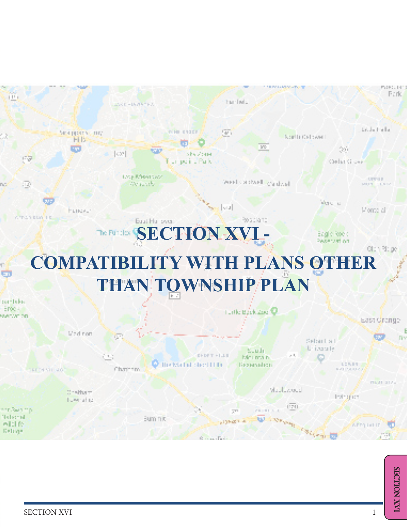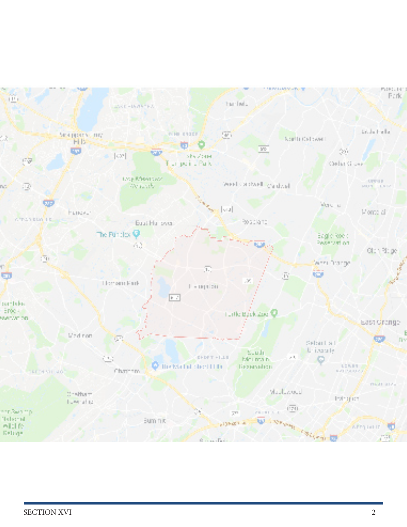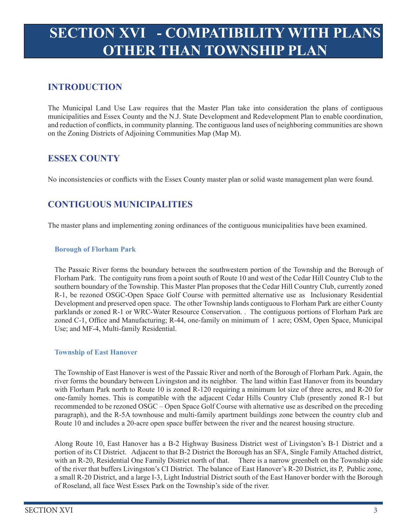# **SECTION XVI - COMPATIBILITY WITH PLANS OTHER THAN TOWNSHIP PLAN**

# **INTRODUCTION**

The Municipal Land Use Law requires that the Master Plan take into consideration the plans of contiguous municipalities and Essex County and the N.J. State Development and Redevelopment Plan to enable coordination, and reduction of conflicts, in community planning. The contiguous land uses of neighboring communities are shown on the Zoning Districts of Adjoining Communities Map (Map M).

## **ESSEX COUNTY**

No inconsistencies or conflicts with the Essex County master plan or solid waste management plan were found.

# **CONTIGUOUS MUNICIPALITIES**

The master plans and implementing zoning ordinances of the contiguous municipalities have been examined.

## **Borough of Florham Park**

The Passaic River forms the boundary between the southwestern portion of the Township and the Borough of Florham Park. The contiguity runs from a point south of Route 10 and west of the Cedar Hill Country Club to the southern boundary of the Township. This Master Plan proposes that the Cedar Hill Country Club, currently zoned R-1, be rezoned OSGC-Open Space Golf Course with permitted alternative use as Inclusionary Residential Development and preserved open space. The other Township lands contiguous to Florham Park are either County parklands or zoned R-1 or WRC-Water Resource Conservation. . The contiguous portions of Florham Park are zoned C-1, Office and Manufacturing; R-44, one-family on minimum of 1 acre; OSM, Open Space, Municipal Use; and MF-4, Multi-family Residential.

## **Township of East Hanover**

The Township of East Hanover is west of the Passaic River and north of the Borough of Florham Park. Again, the river forms the boundary between Livingston and its neighbor. The land within East Hanover from its boundary with Florham Park north to Route 10 is zoned R-120 requiring a minimum lot size of three acres, and R-20 for one-family homes. This is compatible with the adjacent Cedar Hills Country Club (presently zoned R-1 but recommended to be rezoned OSGC – Open Space Golf Course with alternative use as described on the preceding paragraph), and the R-5A townhouse and multi-family apartment buildings zone between the country club and Route 10 and includes a 20-acre open space buffer between the river and the nearest housing structure.

Along Route 10, East Hanover has a B-2 Highway Business District west of Livingston's B-1 District and a portion of its CI District. Adjacent to that B-2 District the Borough has an SFA, Single Family Attached district, with an R-20, Residential One Family District north of that. There is a narrow greenbelt on the Township side of the river that buffers Livingston's CI District. The balance of East Hanover's R-20 District, its P, Public zone, a small R-20 District, and a large I-3, Light Industrial District south of the East Hanover border with the Borough of Roseland, all face West Essex Park on the Township's side of the river.